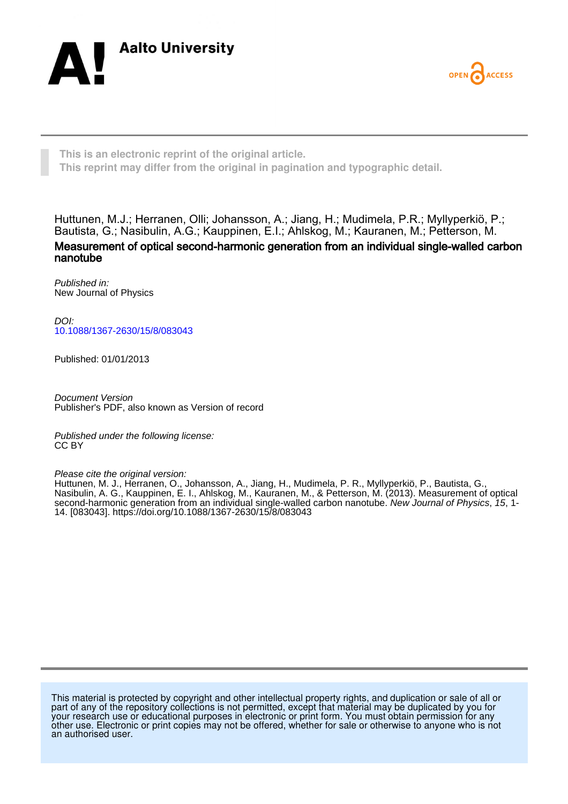



**This is an electronic reprint of the original article. This reprint may differ from the original in pagination and typographic detail.**

Huttunen, M.J.; Herranen, Olli; Johansson, A.; Jiang, H.; Mudimela, P.R.; Myllyperkiö, P.; Bautista, G.; Nasibulin, A.G.; Kauppinen, E.I.; Ahlskog, M.; Kauranen, M.; Petterson, M. Measurement of optical second-harmonic generation from an individual single-walled carbon nanotube

Published in: New Journal of Physics

DOI: [10.1088/1367-2630/15/8/083043](https://doi.org/10.1088/1367-2630/15/8/083043)

Published: 01/01/2013

Document Version Publisher's PDF, also known as Version of record

Published under the following license: CC BY

Please cite the original version:

Huttunen, M. J., Herranen, O., Johansson, A., Jiang, H., Mudimela, P. R., Myllyperkiö, P., Bautista, G., Nasibulin, A. G., Kauppinen, E. I., Ahlskog, M., Kauranen, M., & Petterson, M. (2013). Measurement of optical second-harmonic generation from an individual single-walled carbon nanotube. New Journal of Physics, 15, 1-14. [083043].<https://doi.org/10.1088/1367-2630/15/8/083043>

This material is protected by copyright and other intellectual property rights, and duplication or sale of all or part of any of the repository collections is not permitted, except that material may be duplicated by you for your research use or educational purposes in electronic or print form. You must obtain permission for any other use. Electronic or print copies may not be offered, whether for sale or otherwise to anyone who is not an authorised user.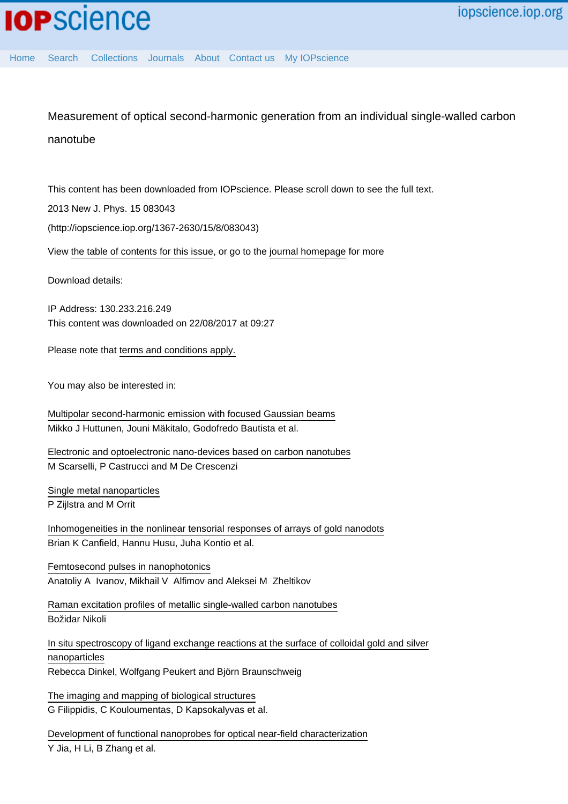Measurement of optical second-harmonic generation from an individual single-walled carbon nanotube

This content has been downloaded from IOPscience. Please scroll down to see the full text.

2013 New J. Phys. 15 083043

(http://iopscience.iop.org/1367-2630/15/8/083043)

View [the table of contents for this issue](http://iopscience.iop.org/1367-2630/15/8), or go to the [journal homepage](http://iopscience.iop.org/1367-2630) for more

Download details:

IP Address: 130.233.216.249 This content was downloaded on 22/08/2017 at 09:27

Please note that [terms and conditions apply.](http://iopscience.iop.org/page/terms)

You may also be interested in:

[Multipolar second-harmonic emission with focused Gaussian beams](http://iopscience.iop.org/article/10.1088/1367-2630/14/11/113005) Mikko J Huttunen, Jouni Mäkitalo, Godofredo Bautista et al.

[Electronic and optoelectronic nano-devices based on carbon nanotubes](http://iopscience.iop.org/article/10.1088/0953-8984/24/31/313202) M Scarselli, P Castrucci and M De Crescenzi

[Single metal nanoparticles](http://iopscience.iop.org/article/10.1088/0034-4885/74/10/106401) P Zijlstra and M Orrit

[Inhomogeneities in the nonlinear tensorial responses of arrays of gold nanodots](http://iopscience.iop.org/article/10.1088/1367-2630/10/1/013001) Brian K Canfield, Hannu Husu, Juha Kontio et al.

[Femtosecond pulses in nanophotonics](http://iopscience.iop.org/article/10.1070/PU2004v047n07ABEH001811) Anatoliy A Ivanov, Mikhail V Alfimov and Aleksei M Zheltikov

[Raman excitation profiles of metallic single-walled carbon nanotubes](http://iopscience.iop.org/article/10.1088/0953-8984/22/9/095302) Božidar Nikoli

[In situ spectroscopy of ligand exchange reactions at the surface of colloidal gold and silver](http://iopscience.iop.org/article/10.1088/1361-648X/aa5a3c) [nanoparticles](http://iopscience.iop.org/article/10.1088/1361-648X/aa5a3c) Rebecca Dinkel, Wolfgang Peukert and Björn Braunschweig

[The imaging and mapping of biological structures](http://iopscience.iop.org/article/10.1088/0022-3727/38/15/014) G Filippidis, C Kouloumentas, D Kapsokalyvas et al.

[Development of functional nanoprobes for optical near-field characterization](http://iopscience.iop.org/article/10.1088/0953-8984/22/33/334218) Y Jia, H Li, B Zhang et al.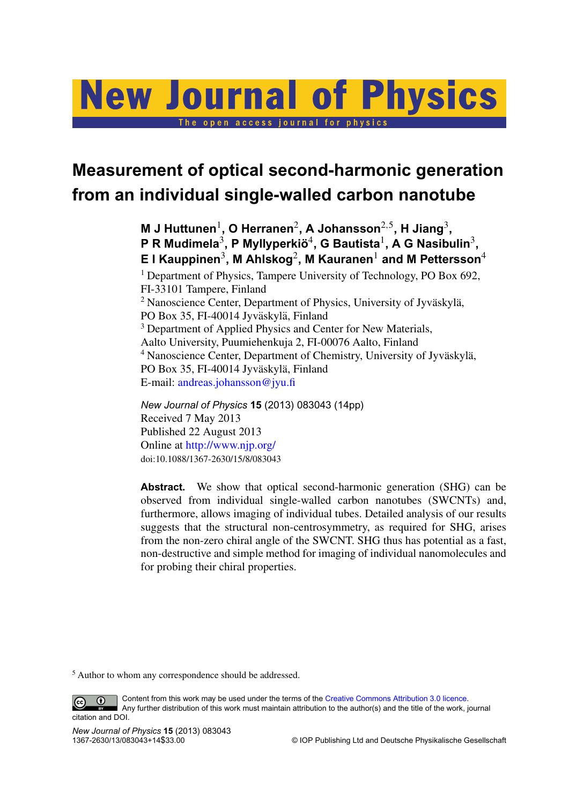# **New Journal of Physics** The open access iournal for physics

# **Measurement of optical second-harmonic generation from an individual single-walled carbon nanotube**

**M** J Huttunen $^1$ , O Herranen $^2$ , A Johansson $^{2,5}$ , H Jiang $^3$ , **P R Mudimela** $^3$ **, P Myllyperkiö** $^4$ **, G Bautista** $^1$ **, A G Nasibulin** $^3$ **, E I Kauppinen**<sup>3</sup> **, M Ahlskog**<sup>2</sup> **, M Kauranen**<sup>1</sup> **and M Pettersson**<sup>4</sup> <sup>1</sup> Department of Physics, Tampere University of Technology, PO Box 692, FI-33101 Tampere, Finland  $2$  Nanoscience Center, Department of Physics, University of Jyväskylä, PO Box 35, FI-40014 Jyväskylä, Finland <sup>3</sup> Department of Applied Physics and Center for New Materials, Aalto University, Puumiehenkuja 2, FI-00076 Aalto, Finland <sup>4</sup> Nanoscience Center, Department of Chemistry, University of Jyväskylä, PO Box 35, FI-40014 Jyväskylä, Finland E-mail: [andreas.johansson@jyu.fi](mailto:andreas.johansson@jyu.fi)

*New Journal of Physics* **15** (2013) 083043 (14pp) Received 7 May 2013 Published 22 August 2013 Online at <http://www.njp.org/> doi:10.1088/1367-2630/15/8/083043

**Abstract.** We show that optical second-harmonic generation (SHG) can be observed from individual single-walled carbon nanotubes (SWCNTs) and, furthermore, allows imaging of individual tubes. Detailed analysis of our results suggests that the structural non-centrosymmetry, as required for SHG, arises from the non-zero chiral angle of the SWCNT. SHG thus has potential as a fast, non-destructive and simple method for imaging of individual nanomolecules and for probing their chiral properties.

<sup>5</sup> Author to whom any correspondence should be addressed.

Content from this work may be used under the terms of the [Creative Commons Attribution 3.0 licence.](http://creativecommons.org/licenses/by/3.0)  $\bigcirc$ 

*New Journal of Physics* **15** (2013) 083043

© IOP Publishing Ltd and Deutsche Physikalische Gesellschaft

 $\left($ cc Any further distribution of this work must maintain attribution to the author(s) and the title of the work, journal citation and DOI.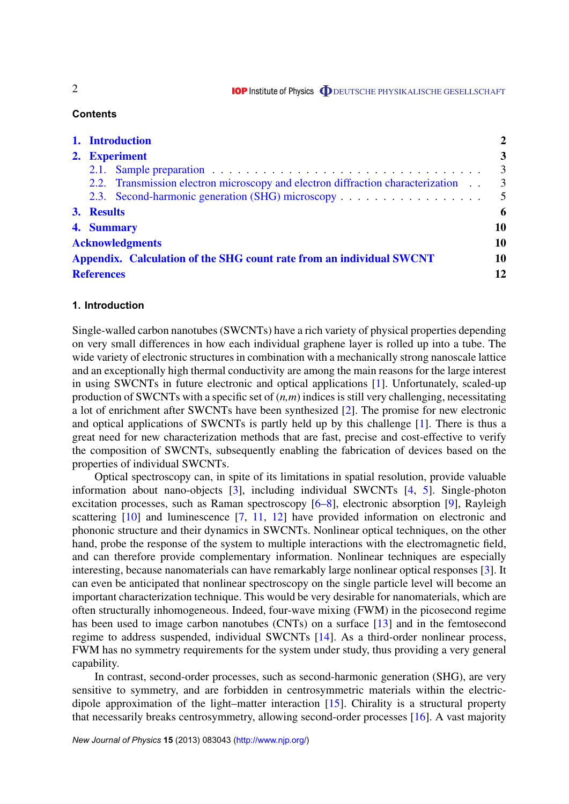**IOP** Institute of Physics **ODEUTSCHE PHYSIKALISCHE GESELLSCHAFT** 

# **Contents**

| 1. Introduction                                                                  | $\mathbf 2$              |
|----------------------------------------------------------------------------------|--------------------------|
| 2. Experiment                                                                    | 3                        |
|                                                                                  | $\overline{3}$           |
| 2.2. Transmission electron microscopy and electron diffraction characterization. | $\overline{\phantom{a}}$ |
|                                                                                  | $\overline{5}$           |
| 3. Results                                                                       | 6                        |
| 4. Summary                                                                       | 10                       |
| <b>Acknowledgments</b>                                                           | 10                       |
| Appendix. Calculation of the SHG count rate from an individual SWCNT             | 10                       |
| <b>References</b>                                                                | 12                       |

#### **1. Introduction**

Single-walled carbon nanotubes (SWCNTs) have a rich variety of physical properties depending on very small differences in how each individual graphene layer is rolled up into a tube. The wide variety of electronic structures in combination with a mechanically strong nanoscale lattice and an exceptionally high thermal conductivity are among the main reasons for the large interest in using SWCNTs in future electronic and optical applications [\[1\]](#page-13-0). Unfortunately, scaled-up production of SWCNTs with a specific set of (*n,m*) indices is still very challenging, necessitating a lot of enrichment after SWCNTs have been synthesized [\[2\]](#page-13-0). The promise for new electronic and optical applications of SWCNTs is partly held up by this challenge [\[1\]](#page-13-0). There is thus a great need for new characterization methods that are fast, precise and cost-effective to verify the composition of SWCNTs, subsequently enabling the fabrication of devices based on the properties of individual SWCNTs.

Optical spectroscopy can, in spite of its limitations in spatial resolution, provide valuable information about nano-objects [\[3\]](#page-13-0), including individual SWCNTs [\[4,](#page-13-0) [5\]](#page-13-0). Single-photon excitation processes, such as Raman spectroscopy [\[6–8\]](#page-13-0), electronic absorption [\[9\]](#page-13-0), Rayleigh scattering [\[10\]](#page-13-0) and luminescence [\[7,](#page-13-0) [11,](#page-13-0) [12\]](#page-13-0) have provided information on electronic and phononic structure and their dynamics in SWCNTs. Nonlinear optical techniques, on the other hand, probe the response of the system to multiple interactions with the electromagnetic field, and can therefore provide complementary information. Nonlinear techniques are especially interesting, because nanomaterials can have remarkably large nonlinear optical responses [\[3\]](#page-13-0). It can even be anticipated that nonlinear spectroscopy on the single particle level will become an important characterization technique. This would be very desirable for nanomaterials, which are often structurally inhomogeneous. Indeed, four-wave mixing (FWM) in the picosecond regime has been used to image carbon nanotubes (CNTs) on a surface [\[13\]](#page-13-0) and in the femtosecond regime to address suspended, individual SWCNTs [\[14\]](#page-13-0). As a third-order nonlinear process, FWM has no symmetry requirements for the system under study, thus providing a very general capability.

In contrast, second-order processes, such as second-harmonic generation (SHG), are very sensitive to symmetry, and are forbidden in centrosymmetric materials within the electricdipole approximation of the light–matter interaction [\[15\]](#page-13-0). Chirality is a structural property that necessarily breaks centrosymmetry, allowing second-order processes [\[16\]](#page-13-0). A vast majority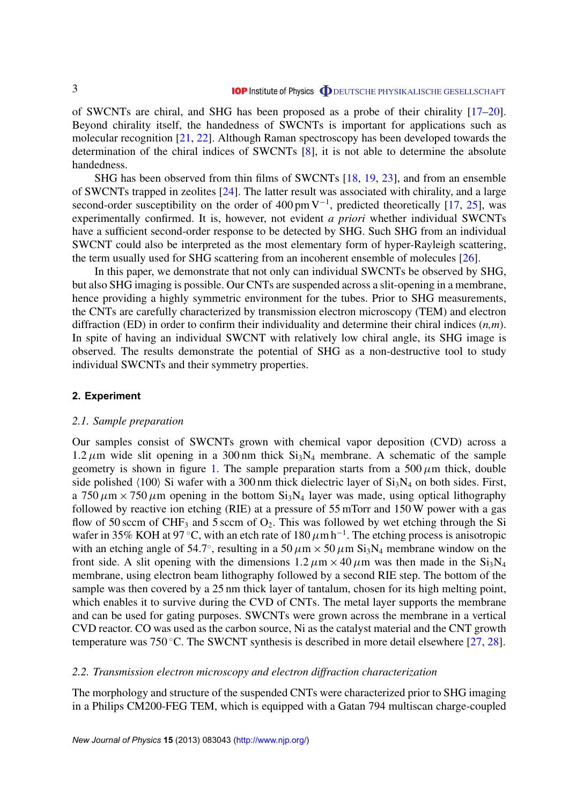<span id="page-4-0"></span>of SWCNTs are chiral, and SHG has been proposed as a probe of their chirality [\[17–20\]](#page-14-0). Beyond chirality itself, the handedness of SWCNTs is important for applications such as molecular recognition [\[21,](#page-14-0) [22\]](#page-14-0). Although Raman spectroscopy has been developed towards the determination of the chiral indices of SWCNTs [\[8\]](#page-13-0), it is not able to determine the absolute handedness.

SHG has been observed from thin films of SWCNTs [\[18,](#page-14-0) [19,](#page-14-0) [23\]](#page-14-0), and from an ensemble of SWCNTs trapped in zeolites [\[24\]](#page-14-0). The latter result was associated with chirality, and a large second-order susceptibility on the order of 400 pm  $V^{-1}$ , predicted theoretically [\[17,](#page-14-0) [25\]](#page-14-0), was experimentally confirmed. It is, however, not evident *a priori* whether individual SWCNTs have a sufficient second-order response to be detected by SHG. Such SHG from an individual SWCNT could also be interpreted as the most elementary form of hyper-Rayleigh scattering, the term usually used for SHG scattering from an incoherent ensemble of molecules [\[26\]](#page-14-0).

In this paper, we demonstrate that not only can individual SWCNTs be observed by SHG, but also SHG imaging is possible. Our CNTs are suspended across a slit-opening in a membrane, hence providing a highly symmetric environment for the tubes. Prior to SHG measurements, the CNTs are carefully characterized by transmission electron microscopy (TEM) and electron diffraction (ED) in order to confirm their individuality and determine their chiral indices (*n,m*). In spite of having an individual SWCNT with relatively low chiral angle, its SHG image is observed. The results demonstrate the potential of SHG as a non-destructive tool to study individual SWCNTs and their symmetry properties.

#### **2. Experiment**

#### *2.1. Sample preparation*

Our samples consist of SWCNTs grown with chemical vapor deposition (CVD) across a  $1.2 \mu$ m wide slit opening in a 300 nm thick  $Si<sub>3</sub>N<sub>4</sub>$  membrane. A schematic of the sample geometry is shown in figure [1.](#page-5-0) The sample preparation starts from a  $500 \mu m$  thick, double side polished  $\langle 100 \rangle$  Si wafer with a 300 nm thick dielectric layer of Si<sub>3</sub>N<sub>4</sub> on both sides. First, a 750  $\mu$ m × 750  $\mu$ m opening in the bottom Si<sub>3</sub>N<sub>4</sub> layer was made, using optical lithography followed by reactive ion etching (RIE) at a pressure of 55 mTorr and 150 W power with a gas flow of 50 sccm of CHF<sub>3</sub> and 5 sccm of  $O_2$ . This was followed by wet etching through the Si wafer in 35% KOH at 97 °C, with an etch rate of 180  $\mu$ m h<sup>-1</sup>. The etching process is anisotropic with an etching angle of 54.7°, resulting in a 50  $\mu$ m  $\times$  50  $\mu$ m Si<sub>3</sub>N<sub>4</sub> membrane window on the front side. A slit opening with the dimensions  $1.2 \mu m \times 40 \mu m$  was then made in the Si<sub>3</sub>N<sub>4</sub> membrane, using electron beam lithography followed by a second RIE step. The bottom of the sample was then covered by a 25 nm thick layer of tantalum, chosen for its high melting point, which enables it to survive during the CVD of CNTs. The metal layer supports the membrane and can be used for gating purposes. SWCNTs were grown across the membrane in a vertical CVD reactor. CO was used as the carbon source, Ni as the catalyst material and the CNT growth temperature was  $750^{\circ}$ C. The SWCNT synthesis is described in more detail elsewhere [\[27,](#page-14-0) [28\]](#page-14-0).

#### *2.2. Transmission electron microscopy and electron diffraction characterization*

The morphology and structure of the suspended CNTs were characterized prior to SHG imaging in a Philips CM200-FEG TEM, which is equipped with a Gatan 794 multiscan charge-coupled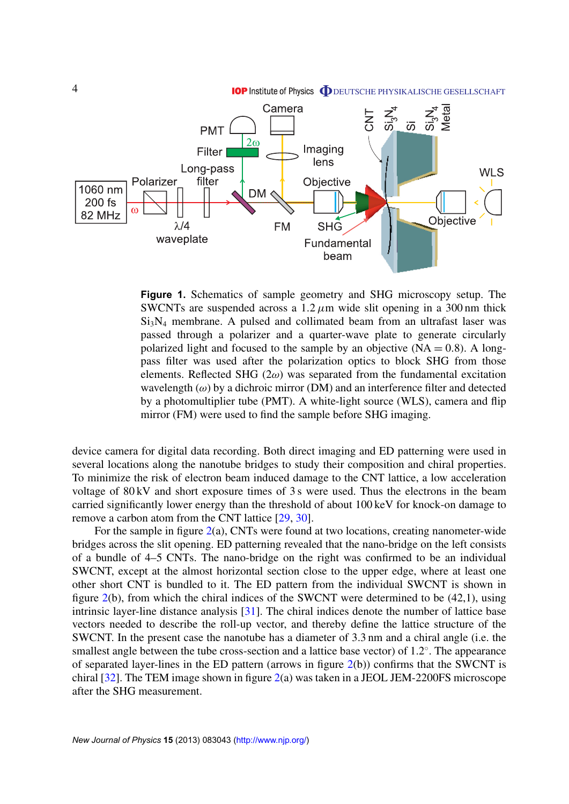<span id="page-5-0"></span>

**Figure 1.** Schematics of sample geometry and SHG microscopy setup. The SWCNTs are suspended across a  $1.2 \mu m$  wide slit opening in a 300 nm thick  $Si<sub>3</sub>N<sub>4</sub>$  membrane. A pulsed and collimated beam from an ultrafast laser was passed through a polarizer and a quarter-wave plate to generate circularly polarized light and focused to the sample by an objective  $(NA = 0.8)$ . A longpass filter was used after the polarization optics to block SHG from those elements. Reflected SHG ( $2\omega$ ) was separated from the fundamental excitation wavelength  $(\omega)$  by a dichroic mirror (DM) and an interference filter and detected by a photomultiplier tube (PMT). A white-light source (WLS), camera and flip mirror (FM) were used to find the sample before SHG imaging.

device camera for digital data recording. Both direct imaging and ED patterning were used in several locations along the nanotube bridges to study their composition and chiral properties. To minimize the risk of electron beam induced damage to the CNT lattice, a low acceleration voltage of 80 kV and short exposure times of 3 s were used. Thus the electrons in the beam carried significantly lower energy than the threshold of about 100 keV for knock-on damage to remove a carbon atom from the CNT lattice [\[29,](#page-14-0) [30\]](#page-14-0).

For the sample in figure [2\(](#page-6-0)a), CNTs were found at two locations, creating nanometer-wide bridges across the slit opening. ED patterning revealed that the nano-bridge on the left consists of a bundle of 4–5 CNTs. The nano-bridge on the right was confirmed to be an individual SWCNT, except at the almost horizontal section close to the upper edge, where at least one other short CNT is bundled to it. The ED pattern from the individual SWCNT is shown in figure [2\(](#page-6-0)b), from which the chiral indices of the SWCNT were determined to be (42,1), using intrinsic layer-line distance analysis [\[31\]](#page-14-0). The chiral indices denote the number of lattice base vectors needed to describe the roll-up vector, and thereby define the lattice structure of the SWCNT. In the present case the nanotube has a diameter of 3.3 nm and a chiral angle (i.e. the smallest angle between the tube cross-section and a lattice base vector) of 1.2°. The appearance of separated layer-lines in the ED pattern (arrows in figure  $2(b)$  $2(b)$ ) confirms that the SWCNT is chiral [\[32\]](#page-14-0). The TEM image shown in figure [2\(](#page-6-0)a) was taken in a JEOL JEM-2200FS microscope after the SHG measurement.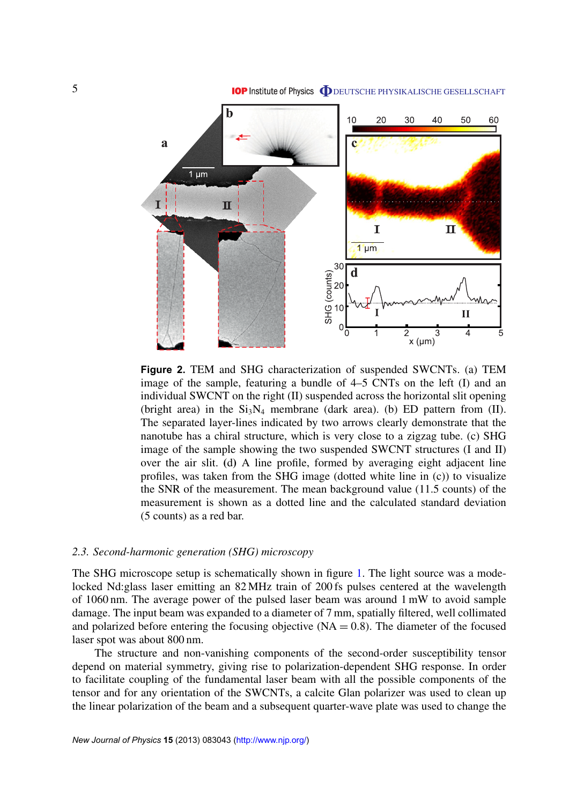

<span id="page-6-0"></span>

**Figure 2.** TEM and SHG characterization of suspended SWCNTs. (a) TEM image of the sample, featuring a bundle of 4–5 CNTs on the left (I) and an individual SWCNT on the right (II) suspended across the horizontal slit opening (bright area) in the  $Si<sub>3</sub>N<sub>4</sub>$  membrane (dark area). (b) ED pattern from (II). The separated layer-lines indicated by two arrows clearly demonstrate that the nanotube has a chiral structure, which is very close to a zigzag tube. (c) SHG image of the sample showing the two suspended SWCNT structures (I and II) over the air slit. **(**d**)** A line profile, formed by averaging eight adjacent line profiles, was taken from the SHG image (dotted white line in (c)) to visualize the SNR of the measurement. The mean background value (11.5 counts) of the measurement is shown as a dotted line and the calculated standard deviation (5 counts) as a red bar.

# *2.3. Second-harmonic generation (SHG) microscopy*

The SHG microscope setup is schematically shown in figure [1.](#page-5-0) The light source was a modelocked Nd:glass laser emitting an 82 MHz train of 200 fs pulses centered at the wavelength of 1060 nm. The average power of the pulsed laser beam was around 1 mW to avoid sample damage. The input beam was expanded to a diameter of 7 mm, spatially filtered, well collimated and polarized before entering the focusing objective  $(NA = 0.8)$ . The diameter of the focused laser spot was about 800 nm.

The structure and non-vanishing components of the second-order susceptibility tensor depend on material symmetry, giving rise to polarization-dependent SHG response. In order to facilitate coupling of the fundamental laser beam with all the possible components of the tensor and for any orientation of the SWCNTs, a calcite Glan polarizer was used to clean up the linear polarization of the beam and a subsequent quarter-wave plate was used to change the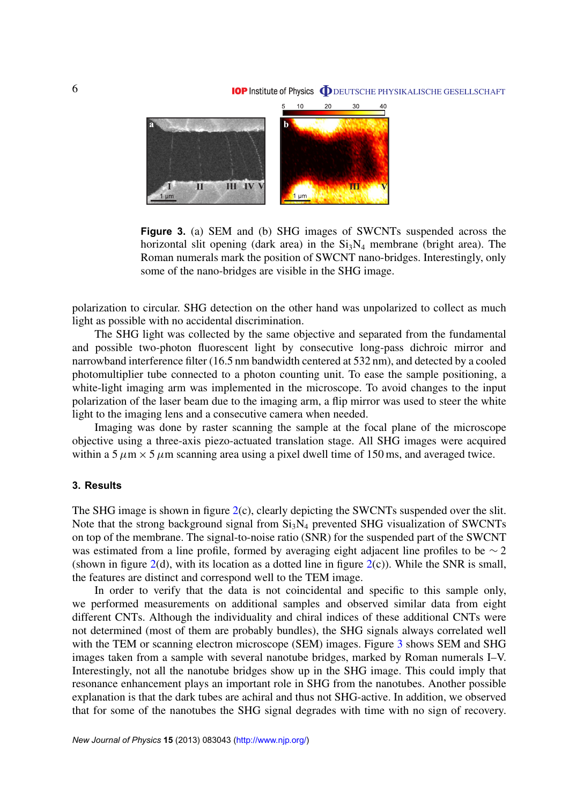<span id="page-7-0"></span>

**Figure 3.** (a) SEM and (b) SHG images of SWCNTs suspended across the horizontal slit opening (dark area) in the  $Si<sub>3</sub>N<sub>4</sub>$  membrane (bright area). The Roman numerals mark the position of SWCNT nano-bridges. Interestingly, only some of the nano-bridges are visible in the SHG image.

polarization to circular. SHG detection on the other hand was unpolarized to collect as much light as possible with no accidental discrimination.

The SHG light was collected by the same objective and separated from the fundamental and possible two-photon fluorescent light by consecutive long-pass dichroic mirror and narrowband interference filter (16.5 nm bandwidth centered at 532 nm), and detected by a cooled photomultiplier tube connected to a photon counting unit. To ease the sample positioning, a white-light imaging arm was implemented in the microscope. To avoid changes to the input polarization of the laser beam due to the imaging arm, a flip mirror was used to steer the white light to the imaging lens and a consecutive camera when needed.

Imaging was done by raster scanning the sample at the focal plane of the microscope objective using a three-axis piezo-actuated translation stage. All SHG images were acquired within a  $5 \mu m \times 5 \mu m$  scanning area using a pixel dwell time of 150 ms, and averaged twice.

### **3. Results**

The SHG image is shown in figure [2\(](#page-6-0)c), clearly depicting the SWCNTs suspended over the slit. Note that the strong background signal from  $Si<sub>3</sub>N<sub>4</sub>$  prevented SHG visualization of SWCNTs on top of the membrane. The signal-to-noise ratio (SNR) for the suspended part of the SWCNT was estimated from a line profile, formed by averaging eight adjacent line profiles to be  $\sim$  2 (shown in figure  $2(d)$  $2(d)$ , with its location as a dotted line in figure  $2(c)$ ). While the SNR is small, the features are distinct and correspond well to the TEM image.

In order to verify that the data is not coincidental and specific to this sample only, we performed measurements on additional samples and observed similar data from eight different CNTs. Although the individuality and chiral indices of these additional CNTs were not determined (most of them are probably bundles), the SHG signals always correlated well with the TEM or scanning electron microscope (SEM) images. Figure 3 shows SEM and SHG images taken from a sample with several nanotube bridges, marked by Roman numerals I–V. Interestingly, not all the nanotube bridges show up in the SHG image. This could imply that resonance enhancement plays an important role in SHG from the nanotubes. Another possible explanation is that the dark tubes are achiral and thus not SHG-active. In addition, we observed that for some of the nanotubes the SHG signal degrades with time with no sign of recovery.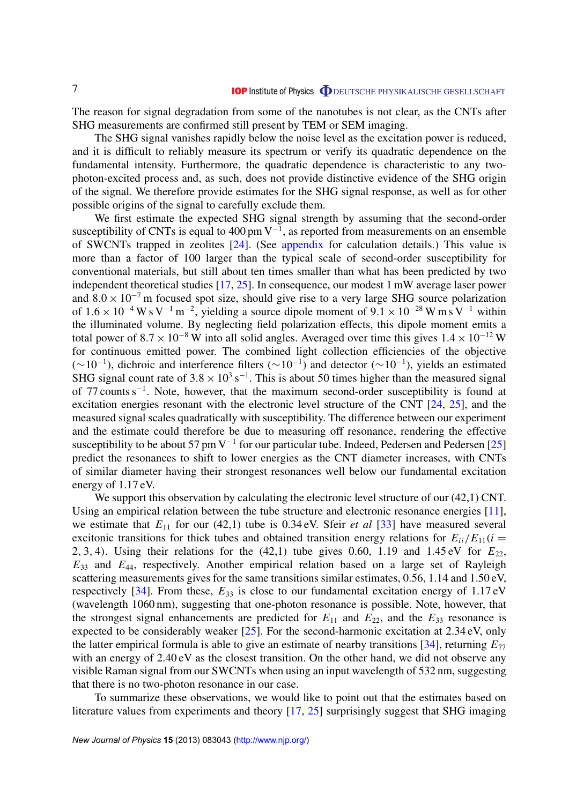The reason for signal degradation from some of the nanotubes is not clear, as the CNTs after SHG measurements are confirmed still present by TEM or SEM imaging.

The SHG signal vanishes rapidly below the noise level as the excitation power is reduced, and it is difficult to reliably measure its spectrum or verify its quadratic dependence on the fundamental intensity. Furthermore, the quadratic dependence is characteristic to any twophoton-excited process and, as such, does not provide distinctive evidence of the SHG origin of the signal. We therefore provide estimates for the SHG signal response, as well as for other possible origins of the signal to carefully exclude them.

We first estimate the expected SHG signal strength by assuming that the second-order susceptibility of CNTs is equal to 400 pm  $V^{-1}$ , as reported from measurements on an ensemble of SWCNTs trapped in zeolites [\[24\]](#page-14-0). (See [appendix](#page-11-0) for calculation details.) This value is more than a factor of 100 larger than the typical scale of second-order susceptibility for conventional materials, but still about ten times smaller than what has been predicted by two independent theoretical studies [\[17,](#page-14-0) [25\]](#page-14-0). In consequence, our modest 1 mW average laser power and  $8.0 \times 10^{-7}$  m focused spot size, should give rise to a very large SHG source polarization of  $1.6 \times 10^{-4}$  W s V<sup>-1</sup> m<sup>-2</sup>, yielding a source dipole moment of  $9.1 \times 10^{-28}$  W m s V<sup>-1</sup> within the illuminated volume. By neglecting field polarization effects, this dipole moment emits a total power of  $8.7 \times 10^{-8}$  W into all solid angles. Averaged over time this gives  $1.4 \times 10^{-12}$  W for continuous emitted power. The combined light collection efficiencies of the objective ( $\sim$ 10<sup>-1</sup>), dichroic and interference filters ( $\sim$ 10<sup>-1</sup>) and detector ( $\sim$ 10<sup>-1</sup>), yields an estimated SHG signal count rate of  $3.8 \times 10^3$  s<sup>-1</sup>. This is about 50 times higher than the measured signal of 77 counts s<sup>-1</sup>. Note, however, that the maximum second-order susceptibility is found at excitation energies resonant with the electronic level structure of the CNT [\[24,](#page-14-0) [25\]](#page-14-0), and the measured signal scales quadratically with susceptibility. The difference between our experiment and the estimate could therefore be due to measuring off resonance, rendering the effective susceptibility to be about 57 pm V<sup>-1</sup> for our particular tube. Indeed, Pedersen and Pedersen [\[25\]](#page-14-0) predict the resonances to shift to lower energies as the CNT diameter increases, with CNTs of similar diameter having their strongest resonances well below our fundamental excitation energy of 1.17 eV.

We support this observation by calculating the electronic level structure of our  $(42,1)$  CNT. Using an empirical relation between the tube structure and electronic resonance energies [\[11\]](#page-13-0), we estimate that *E*<sup>11</sup> for our (42,1) tube is 0.34 eV. Sfeir *et al* [\[33\]](#page-14-0) have measured several excitonic transitions for thick tubes and obtained transition energy relations for  $E_{ii}/E_{11}(i =$ 2, 3, 4). Using their relations for the  $(42,1)$  tube gives 0.60, 1.19 and 1.45 eV for  $E_{22}$ , *E*<sup>33</sup> and *E*44, respectively. Another empirical relation based on a large set of Rayleigh scattering measurements gives for the same transitions similar estimates, 0.56, 1.14 and 1.50 eV, respectively [\[34\]](#page-14-0). From these,  $E_{33}$  is close to our fundamental excitation energy of 1.17 eV (wavelength 1060 nm), suggesting that one-photon resonance is possible. Note, however, that the strongest signal enhancements are predicted for  $E_{11}$  and  $E_{22}$ , and the  $E_{33}$  resonance is expected to be considerably weaker [\[25\]](#page-14-0). For the second-harmonic excitation at 2.34 eV, only the latter empirical formula is able to give an estimate of nearby transitions  $[34]$ , returning  $E_{77}$ with an energy of  $2.40 \text{ eV}$  as the closest transition. On the other hand, we did not observe any visible Raman signal from our SWCNTs when using an input wavelength of 532 nm, suggesting that there is no two-photon resonance in our case.

To summarize these observations, we would like to point out that the estimates based on literature values from experiments and theory [\[17,](#page-14-0) [25\]](#page-14-0) surprisingly suggest that SHG imaging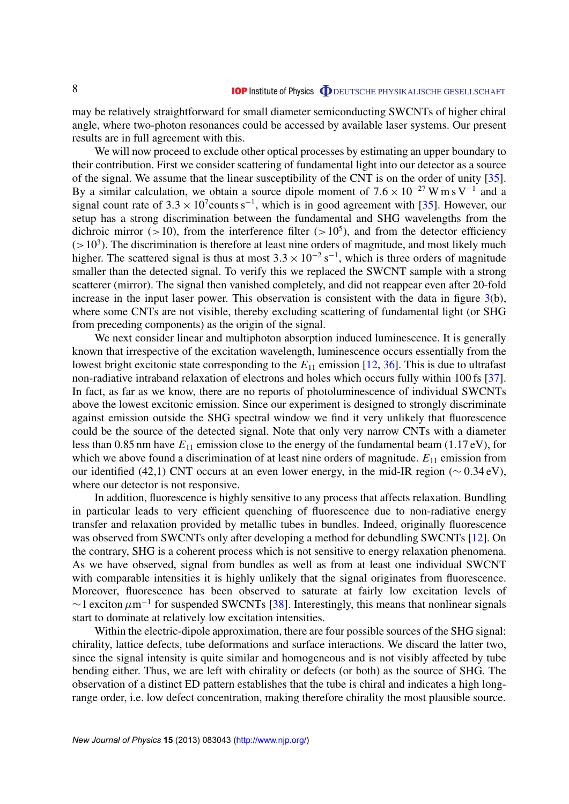may be relatively straightforward for small diameter semiconducting SWCNTs of higher chiral angle, where two-photon resonances could be accessed by available laser systems. Our present results are in full agreement with this.

We will now proceed to exclude other optical processes by estimating an upper boundary to their contribution. First we consider scattering of fundamental light into our detector as a source of the signal. We assume that the linear susceptibility of the CNT is on the order of unity [\[35\]](#page-14-0). By a similar calculation, we obtain a source dipole moment of  $7.6 \times 10^{-27}$  W m s V<sup>-1</sup> and a signal count rate of  $3.3 \times 10^7$ counts s<sup>-1</sup>, which is in good agreement with [\[35\]](#page-14-0). However, our setup has a strong discrimination between the fundamental and SHG wavelengths from the dichroic mirror (>10), from the interference filter (>10<sup>5</sup>), and from the detector efficiency  $(>10<sup>3</sup>)$ . The discrimination is therefore at least nine orders of magnitude, and most likely much higher. The scattered signal is thus at most  $3.3 \times 10^{-2}$  s<sup>-1</sup>, which is three orders of magnitude smaller than the detected signal. To verify this we replaced the SWCNT sample with a strong scatterer (mirror). The signal then vanished completely, and did not reappear even after 20-fold increase in the input laser power. This observation is consistent with the data in figure  $3(b)$  $3(b)$ , where some CNTs are not visible, thereby excluding scattering of fundamental light (or SHG from preceding components) as the origin of the signal.

We next consider linear and multiphoton absorption induced luminescence. It is generally known that irrespective of the excitation wavelength, luminescence occurs essentially from the lowest bright excitonic state corresponding to the  $E_{11}$  emission [\[12,](#page-13-0) [36\]](#page-14-0). This is due to ultrafast non-radiative intraband relaxation of electrons and holes which occurs fully within 100 fs [\[37\]](#page-14-0). In fact, as far as we know, there are no reports of photoluminescence of individual SWCNTs above the lowest excitonic emission. Since our experiment is designed to strongly discriminate against emission outside the SHG spectral window we find it very unlikely that fluorescence could be the source of the detected signal. Note that only very narrow CNTs with a diameter less than 0.85 nm have  $E_{11}$  emission close to the energy of the fundamental beam (1.17 eV), for which we above found a discrimination of at least nine orders of magnitude.  $E_{11}$  emission from our identified (42,1) CNT occurs at an even lower energy, in the mid-IR region ( $\sim 0.34 \text{ eV}$ ), where our detector is not responsive.

In addition, fluorescence is highly sensitive to any process that affects relaxation. Bundling in particular leads to very efficient quenching of fluorescence due to non-radiative energy transfer and relaxation provided by metallic tubes in bundles. Indeed, originally fluorescence was observed from SWCNTs only after developing a method for debundling SWCNTs [\[12\]](#page-13-0). On the contrary, SHG is a coherent process which is not sensitive to energy relaxation phenomena. As we have observed, signal from bundles as well as from at least one individual SWCNT with comparable intensities it is highly unlikely that the signal originates from fluorescence. Moreover, fluorescence has been observed to saturate at fairly low excitation levels of  $\sim$ 1 exciton  $\mu$ m<sup>-1</sup> for suspended SWCNTs [\[38\]](#page-14-0). Interestingly, this means that nonlinear signals start to dominate at relatively low excitation intensities.

Within the electric-dipole approximation, there are four possible sources of the SHG signal: chirality, lattice defects, tube deformations and surface interactions. We discard the latter two, since the signal intensity is quite similar and homogeneous and is not visibly affected by tube bending either. Thus, we are left with chirality or defects (or both) as the source of SHG. The observation of a distinct ED pattern establishes that the tube is chiral and indicates a high longrange order, i.e. low defect concentration, making therefore chirality the most plausible source.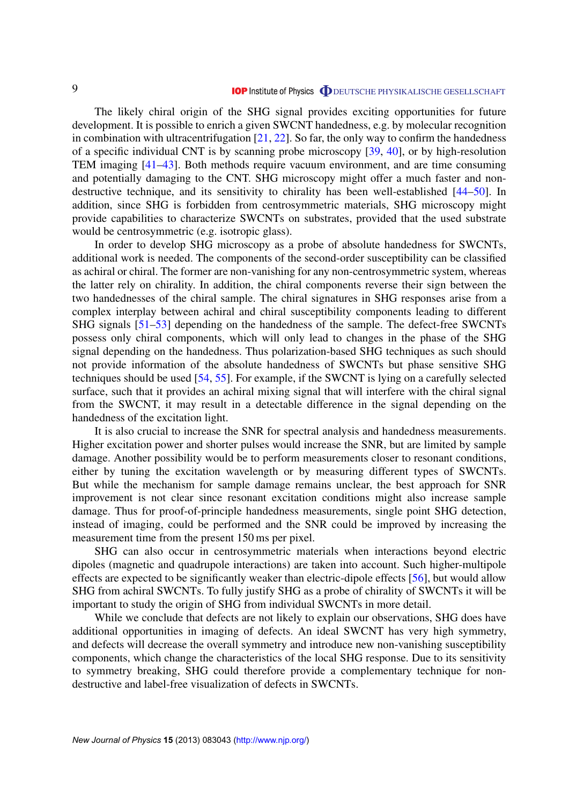The likely chiral origin of the SHG signal provides exciting opportunities for future development. It is possible to enrich a given SWCNT handedness, e.g. by molecular recognition in combination with ultracentrifugation  $[21, 22]$  $[21, 22]$  $[21, 22]$ . So far, the only way to confirm the handedness of a specific individual CNT is by scanning probe microscopy [\[39,](#page-14-0) [40\]](#page-15-0), or by high-resolution TEM imaging [\[41–43\]](#page-15-0). Both methods require vacuum environment, and are time consuming and potentially damaging to the CNT. SHG microscopy might offer a much faster and nondestructive technique, and its sensitivity to chirality has been well-established [\[44–50\]](#page-15-0). In addition, since SHG is forbidden from centrosymmetric materials, SHG microscopy might provide capabilities to characterize SWCNTs on substrates, provided that the used substrate would be centrosymmetric (e.g. isotropic glass).

In order to develop SHG microscopy as a probe of absolute handedness for SWCNTs, additional work is needed. The components of the second-order susceptibility can be classified as achiral or chiral. The former are non-vanishing for any non-centrosymmetric system, whereas the latter rely on chirality. In addition, the chiral components reverse their sign between the two handednesses of the chiral sample. The chiral signatures in SHG responses arise from a complex interplay between achiral and chiral susceptibility components leading to different SHG signals [\[51–53\]](#page-15-0) depending on the handedness of the sample. The defect-free SWCNTs possess only chiral components, which will only lead to changes in the phase of the SHG signal depending on the handedness. Thus polarization-based SHG techniques as such should not provide information of the absolute handedness of SWCNTs but phase sensitive SHG techniques should be used [\[54,](#page-15-0) [55\]](#page-15-0). For example, if the SWCNT is lying on a carefully selected surface, such that it provides an achiral mixing signal that will interfere with the chiral signal from the SWCNT, it may result in a detectable difference in the signal depending on the handedness of the excitation light.

It is also crucial to increase the SNR for spectral analysis and handedness measurements. Higher excitation power and shorter pulses would increase the SNR, but are limited by sample damage. Another possibility would be to perform measurements closer to resonant conditions, either by tuning the excitation wavelength or by measuring different types of SWCNTs. But while the mechanism for sample damage remains unclear, the best approach for SNR improvement is not clear since resonant excitation conditions might also increase sample damage. Thus for proof-of-principle handedness measurements, single point SHG detection, instead of imaging, could be performed and the SNR could be improved by increasing the measurement time from the present 150 ms per pixel.

SHG can also occur in centrosymmetric materials when interactions beyond electric dipoles (magnetic and quadrupole interactions) are taken into account. Such higher-multipole effects are expected to be significantly weaker than electric-dipole effects [\[56\]](#page-15-0), but would allow SHG from achiral SWCNTs. To fully justify SHG as a probe of chirality of SWCNTs it will be important to study the origin of SHG from individual SWCNTs in more detail.

While we conclude that defects are not likely to explain our observations, SHG does have additional opportunities in imaging of defects. An ideal SWCNT has very high symmetry, and defects will decrease the overall symmetry and introduce new non-vanishing susceptibility components, which change the characteristics of the local SHG response. Due to its sensitivity to symmetry breaking, SHG could therefore provide a complementary technique for nondestructive and label-free visualization of defects in SWCNTs.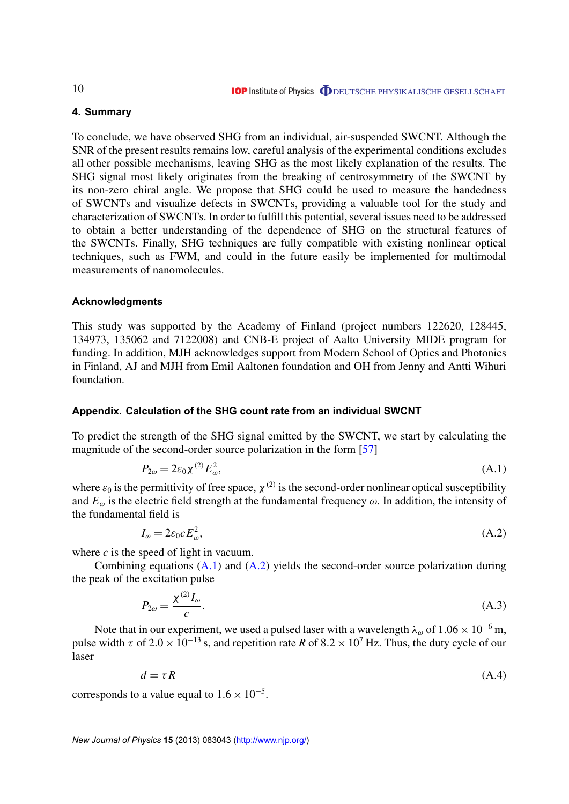# **4. Summary**

To conclude, we have observed SHG from an individual, air-suspended SWCNT. Although the SNR of the present results remains low, careful analysis of the experimental conditions excludes all other possible mechanisms, leaving SHG as the most likely explanation of the results. The SHG signal most likely originates from the breaking of centrosymmetry of the SWCNT by its non-zero chiral angle. We propose that SHG could be used to measure the handedness of SWCNTs and visualize defects in SWCNTs, providing a valuable tool for the study and characterization of SWCNTs. In order to fulfill this potential, several issues need to be addressed to obtain a better understanding of the dependence of SHG on the structural features of the SWCNTs. Finally, SHG techniques are fully compatible with existing nonlinear optical techniques, such as FWM, and could in the future easily be implemented for multimodal measurements of nanomolecules.

# **Acknowledgments**

This study was supported by the Academy of Finland (project numbers 122620, 128445, 134973, 135062 and 7122008) and CNB-E project of Aalto University MIDE program for funding. In addition, MJH acknowledges support from Modern School of Optics and Photonics in Finland, AJ and MJH from Emil Aaltonen foundation and OH from Jenny and Antti Wihuri foundation.

# **Appendix. Calculation of the SHG count rate from an individual SWCNT**

To predict the strength of the SHG signal emitted by the SWCNT, we start by calculating the magnitude of the second-order source polarization in the form [\[57\]](#page-15-0)

$$
P_{2\omega} = 2\varepsilon_0 \chi^{(2)} E_{\omega}^2,\tag{A.1}
$$

where  $\varepsilon_0$  is the permittivity of free space,  $\chi^{(2)}$  is the second-order nonlinear optical susceptibility and  $E_{\omega}$  is the electric field strength at the fundamental frequency  $\omega$ . In addition, the intensity of the fundamental field is

$$
I_{\omega} = 2\varepsilon_0 c E_{\omega}^2,\tag{A.2}
$$

where *c* is the speed of light in vacuum.

Combining equations  $(A.1)$  and  $(A.2)$  yields the second-order source polarization during the peak of the excitation pulse

$$
P_{2\omega} = \frac{\chi^{(2)}I_{\omega}}{c}.\tag{A.3}
$$

Note that in our experiment, we used a pulsed laser with a wavelength  $\lambda_{\omega}$  of  $1.06 \times 10^{-6}$  m, pulse width  $\tau$  of 2.0 × 10<sup>-13</sup> s, and repetition rate *R* of 8.2 × 10<sup>7</sup> Hz. Thus, the duty cycle of our laser

$$
d = \tau R \tag{A.4}
$$

corresponds to a value equal to  $1.6 \times 10^{-5}$ .

*New Journal of Physics* **15** (2013) 083043 [\(http://www.njp.org/\)](http://www.njp.org/)

#### <span id="page-11-0"></span>10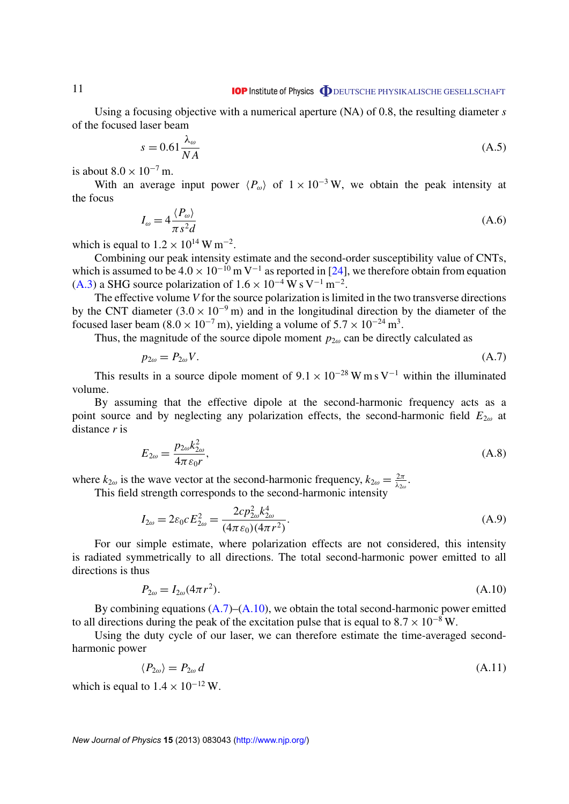<span id="page-12-0"></span>Using a focusing objective with a numerical aperture (NA) of 0.8, the resulting diameter *s* of the focused laser beam

$$
s = 0.61 \frac{\lambda_{\omega}}{NA} \tag{A.5}
$$

is about  $8.0 \times 10^{-7}$  m.

With an average input power  $\langle P_{\omega} \rangle$  of  $1 \times 10^{-3}$  W, we obtain the peak intensity at the focus

$$
I_{\omega} = 4 \frac{\langle P_{\omega} \rangle}{\pi s^2 d} \tag{A.6}
$$

which is equal to  $1.2 \times 10^{14}$  W m<sup>-2</sup>.

Combining our peak intensity estimate and the second-order susceptibility value of CNTs, which is assumed to be  $4.0 \times 10^{-10}$  m V<sup>-1</sup> as reported in [\[24\]](#page-14-0), we therefore obtain from equation [\(A.3\)](#page-11-0) a SHG source polarization of  $1.6 \times 10^{-4}$  W s V<sup>-1</sup> m<sup>-2</sup>.

The effective volume *V* for the source polarization is limited in the two transverse directions by the CNT diameter  $(3.0 \times 10^{-9} \text{ m})$  and in the longitudinal direction by the diameter of the focused laser beam  $(8.0 \times 10^{-7} \text{ m})$ , yielding a volume of  $5.7 \times 10^{-24} \text{ m}^3$ .

Thus, the magnitude of the source dipole moment  $p_{2\omega}$  can be directly calculated as

$$
p_{2\omega} = P_{2\omega} V. \tag{A.7}
$$

This results in a source dipole moment of  $9.1 \times 10^{-28}$  W m s V<sup>-1</sup> within the illuminated volume.

By assuming that the effective dipole at the second-harmonic frequency acts as a point source and by neglecting any polarization effects, the second-harmonic field  $E_{2\omega}$  at distance *r* is

$$
E_{2\omega} = \frac{p_{2\omega}k_{2\omega}^2}{4\pi\,\varepsilon_0 r},\tag{A.8}
$$

where  $k_{2\omega}$  is the wave vector at the second-harmonic frequency,  $k_{2\omega} = \frac{2\pi}{\lambda_2}$  $\frac{2\pi}{\lambda_{2\omega}}$ .

This field strength corresponds to the second-harmonic intensity

$$
I_{2\omega} = 2\varepsilon_0 c E_{2\omega}^2 = \frac{2c p_{2\omega}^2 k_{2\omega}^4}{(4\pi \varepsilon_0)(4\pi r^2)}.
$$
\n(A.9)

For our simple estimate, where polarization effects are not considered, this intensity is radiated symmetrically to all directions. The total second-harmonic power emitted to all directions is thus

$$
P_{2\omega} = I_{2\omega} (4\pi r^2). \tag{A.10}
$$

By combining equations  $(A.7)$ – $(A.10)$ , we obtain the total second-harmonic power emitted to all directions during the peak of the excitation pulse that is equal to  $8.7 \times 10^{-8}$  W.

Using the duty cycle of our laser, we can therefore estimate the time-averaged secondharmonic power

$$
\langle P_{2\omega} \rangle = P_{2\omega} d \tag{A.11}
$$

which is equal to  $1.4 \times 10^{-12}$  W.

*New Journal of Physics* **15** (2013) 083043 [\(http://www.njp.org/\)](http://www.njp.org/)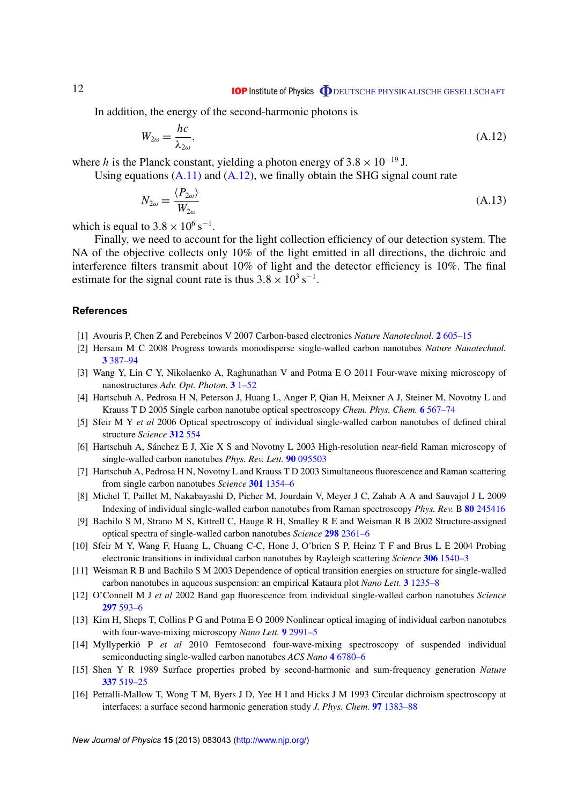In addition, the energy of the second-harmonic photons is

$$
W_{2\omega} = \frac{hc}{\lambda_{2\omega}},\tag{A.12}
$$

where *h* is the Planck constant, yielding a photon energy of  $3.8 \times 10^{-19}$  J.

Using equations  $(A.11)$  and  $(A.12)$ , we finally obtain the SHG signal count rate

$$
N_{2\omega} = \frac{\langle P_{2\omega} \rangle}{W_{2\omega}}
$$
(A.13)

which is equal to  $3.8 \times 10^6$  s<sup>-1</sup>.

Finally, we need to account for the light collection efficiency of our detection system. The NA of the objective collects only 10% of the light emitted in all directions, the dichroic and interference filters transmit about 10% of light and the detector efficiency is 10%. The final estimate for the signal count rate is thus  $3.8 \times 10^3$  s<sup>-1</sup>.

#### **References**

- [1] Avouris P, Chen Z and Perebeinos V 2007 Carbon-based electronics *Nature Nanotechnol.* **2** [605–15](http://dx.doi.org/10.1038/nnano.2007.300)
- [2] Hersam M C 2008 Progress towards monodisperse single-walled carbon nanotubes *Nature Nanotechnol.* **3** [387–94](http://dx.doi.org/10.1038/nnano.2008.135)
- [3] Wang Y, Lin C Y, Nikolaenko A, Raghunathan V and Potma E O 2011 Four-wave mixing microscopy of nanostructures *Adv. Opt. Photon.* **3** [1–52](http://dx.doi.org/10.1364/AOP.3.000001)
- [4] Hartschuh A, Pedrosa H N, Peterson J, Huang L, Anger P, Qian H, Meixner A J, Steiner M, Novotny L and Krauss T D 2005 Single carbon nanotube optical spectroscopy *Chem. Phys. Chem.* **6** [567–74](http://dx.doi.org/10.1002/cphc.200400408)
- [5] Sfeir M Y *et al* 2006 Optical spectroscopy of individual single-walled carbon nanotubes of defined chiral structure *Science* **[312](http://dx.doi.org/10.1126/science.1124602)** 554
- [6] Hartschuh A, Sanchez E J, Xie X S and Novotny L 2003 High-resolution near-field Raman microscopy of ´ single-walled carbon nanotubes *Phys. Rev. Lett.* **90** [095503](http://dx.doi.org/10.1103/PhysRevLett.90.095503)
- [7] Hartschuh A, Pedrosa H N, Novotny L and Krauss T D 2003 Simultaneous fluorescence and Raman scattering from single carbon nanotubes *Science* **301** [1354–6](http://dx.doi.org/10.1126/science.1087118)
- [8] Michel T, Paillet M, Nakabayashi D, Picher M, Jourdain V, Meyer J C, Zahab A A and Sauvajol J L 2009 Indexing of individual single-walled carbon nanotubes from Raman spectroscopy *Phys. Rev.* B **80** [245416](http://dx.doi.org/10.1103/PhysRevB.80.245416)
- [9] Bachilo S M, Strano M S, Kittrell C, Hauge R H, Smalley R E and Weisman R B 2002 Structure-assigned optical spectra of single-walled carbon nanotubes *Science* **298** [2361–6](http://dx.doi.org/10.1126/science.1078727)
- [10] Sfeir M Y, Wang F, Huang L, Chuang C-C, Hone J, O'brien S P, Heinz T F and Brus L E 2004 Probing electronic transitions in individual carbon nanotubes by Rayleigh scattering *Science* **306** [1540–3](http://dx.doi.org/10.1126/science.1103294)
- [11] Weisman R B and Bachilo S M 2003 Dependence of optical transition energies on structure for single-walled carbon nanotubes in aqueous suspension: an empirical Kataura plot *Nano Lett.* **3** [1235–8](http://dx.doi.org/10.1021/nl034428i)
- [12] O'Connell M J *et al* 2002 Band gap fluorescence from individual single-walled carbon nanotubes *Science* **297** [593–6](http://dx.doi.org/10.1126/science.1072631)
- [13] Kim H, Sheps T, Collins P G and Potma E O 2009 Nonlinear optical imaging of individual carbon nanotubes with four-wave-mixing microscopy *Nano Lett.* **9** [2991–5](http://dx.doi.org/10.1021/nl901412x)
- [14] Myllyperkiö P et al 2010 Femtosecond four-wave-mixing spectroscopy of suspended individual semiconducting single-walled carbon nanotubes *ACS Nano* **4** [6780–6](http://dx.doi.org/10.1021/nn1015067)
- [15] Shen Y R 1989 Surface properties probed by second-harmonic and sum-frequency generation *Nature* **337** [519–25](http://dx.doi.org/10.1038/337519a0)
- [16] Petralli-Mallow T, Wong T M, Byers J D, Yee H I and Hicks J M 1993 Circular dichroism spectroscopy at interfaces: a surface second harmonic generation study *J. Phys. Chem.* **97** [1383–88](http://dx.doi.org/10.1021/j100109a022)

*New Journal of Physics* **15** (2013) 083043 [\(http://www.njp.org/\)](http://www.njp.org/)

<span id="page-13-0"></span>12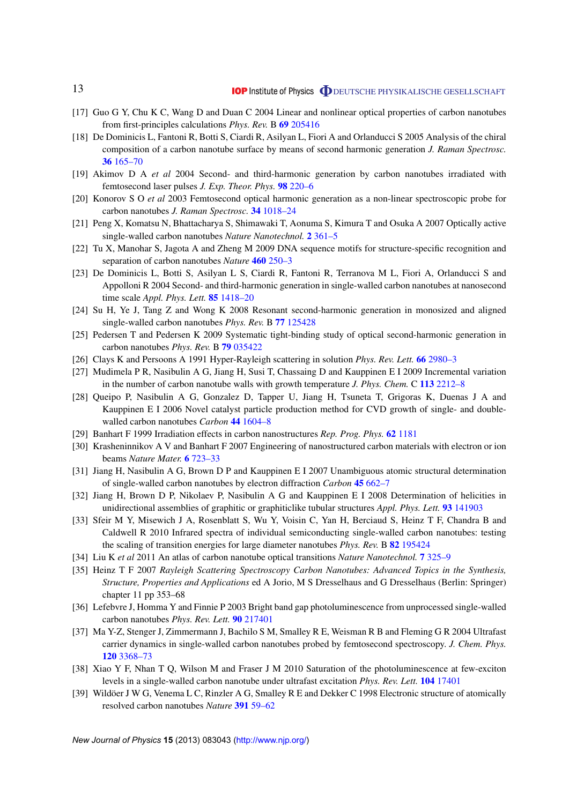- <span id="page-14-0"></span>[17] Guo G Y, Chu K C, Wang D and Duan C 2004 Linear and nonlinear optical properties of carbon nanotubes from first-principles calculations *Phys. Rev.* B **69** [205416](http://dx.doi.org/10.1103/PhysRevB.69.205416)
- [18] De Dominicis L, Fantoni R, Botti S, Ciardi R, Asilyan L, Fiori A and Orlanducci S 2005 Analysis of the chiral composition of a carbon nanotube surface by means of second harmonic generation *J. Raman Spectrosc.* **36** [165–70](http://dx.doi.org/10.1002/jrs.1268)
- [19] Akimov D A *et al* 2004 Second- and third-harmonic generation by carbon nanotubes irradiated with femtosecond laser pulses *J. Exp. Theor. Phys.* **98** [220–6](http://dx.doi.org/10.1134/1.1675889)
- [20] Konorov S O *et al* 2003 Femtosecond optical harmonic generation as a non-linear spectroscopic probe for carbon nanotubes *J. Raman Spectrosc.* **34** [1018–24](http://dx.doi.org/10.1002/jrs.1080)
- [21] Peng X, Komatsu N, Bhattacharya S, Shimawaki T, Aonuma S, Kimura T and Osuka A 2007 Optically active single-walled carbon nanotubes *Nature Nanotechnol.* **2** [361–5](http://dx.doi.org/10.1038/nnano.2007.142)
- [22] Tu X, Manohar S, Jagota A and Zheng M 2009 DNA sequence motifs for structure-specific recognition and separation of carbon nanotubes *Nature* **460** [250–3](http://dx.doi.org/10.1038/nature08116)
- [23] De Dominicis L, Botti S, Asilyan L S, Ciardi R, Fantoni R, Terranova M L, Fiori A, Orlanducci S and Appolloni R 2004 Second- and third-harmonic generation in single-walled carbon nanotubes at nanosecond time scale *Appl. Phys. Lett.* **85** [1418–20](http://dx.doi.org/10.1063/1.1782255)
- [24] Su H, Ye J, Tang Z and Wong K 2008 Resonant second-harmonic generation in monosized and aligned single-walled carbon nanotubes *Phys. Rev.* B **77** [125428](http://dx.doi.org/10.1103/PhysRevB.77.125428)
- [25] Pedersen T and Pedersen K 2009 Systematic tight-binding study of optical second-harmonic generation in carbon nanotubes *Phys. Rev.* B **79** [035422](http://dx.doi.org/10.1103/PhysRevB.79.035422)
- [26] Clays K and Persoons A 1991 Hyper-Rayleigh scattering in solution *Phys. Rev. Lett.* **66** [2980–3](http://dx.doi.org/10.1103/PhysRevLett.66.2980)
- [27] Mudimela P R, Nasibulin A G, Jiang H, Susi T, Chassaing D and Kauppinen E I 2009 Incremental variation in the number of carbon nanotube walls with growth temperature *J. Phys. Chem.* C **113** [2212–8](http://dx.doi.org/10.1021/jp808316p)
- [28] Queipo P, Nasibulin A G, Gonzalez D, Tapper U, Jiang H, Tsuneta T, Grigoras K, Duenas J A and Kauppinen E I 2006 Novel catalyst particle production method for CVD growth of single- and doublewalled carbon nanotubes *Carbon* **44** [1604–8](http://dx.doi.org/10.1016/j.carbon.2006.02.027)
- [29] Banhart F 1999 Irradiation effects in carbon nanostructures *Rep. Prog. Phys.* **62** [1181](http://dx.doi.org/10.1088/0034-4885/62/8/201)
- [30] Krasheninnikov A V and Banhart F 2007 Engineering of nanostructured carbon materials with electron or ion beams *Nature Mater.* **6** [723–33](http://dx.doi.org/10.1038/nmat1996)
- [31] Jiang H, Nasibulin A G, Brown D P and Kauppinen E I 2007 Unambiguous atomic structural determination of single-walled carbon nanotubes by electron diffraction *Carbon* **45** [662–7](http://dx.doi.org/10.1016/j.carbon.2006.07.025)
- [32] Jiang H, Brown D P, Nikolaev P, Nasibulin A G and Kauppinen E I 2008 Determination of helicities in unidirectional assemblies of graphitic or graphiticlike tubular structures *Appl. Phys. Lett.* **93** [141903](http://dx.doi.org/10.1063/1.2993217)
- [33] Sfeir M Y, Misewich J A, Rosenblatt S, Wu Y, Voisin C, Yan H, Berciaud S, Heinz T F, Chandra B and Caldwell R 2010 Infrared spectra of individual semiconducting single-walled carbon nanotubes: testing the scaling of transition energies for large diameter nanotubes *Phys. Rev.* B **82** [195424](http://dx.doi.org/10.1103/PhysRevB.82.195424)
- [34] Liu K *et al* 2011 An atlas of carbon nanotube optical transitions *Nature Nanotechnol.* **7** [325–9](http://dx.doi.org/10.1038/nnano.2012.52)
- [35] Heinz T F 2007 *Rayleigh Scattering Spectroscopy Carbon Nanotubes: Advanced Topics in the Synthesis, Structure, Properties and Applications* ed A Jorio, M S Dresselhaus and G Dresselhaus (Berlin: Springer) chapter 11 pp 353–68
- [36] Lefebvre J, Homma Y and Finnie P 2003 Bright band gap photoluminescence from unprocessed single-walled carbon nanotubes *Phys. Rev. Lett.* **90** [217401](http://dx.doi.org/10.1103/PhysRevLett.90.217401)
- [37] Ma Y-Z, Stenger J, Zimmermann J, Bachilo S M, Smalley R E, Weisman R B and Fleming G R 2004 Ultrafast carrier dynamics in single-walled carbon nanotubes probed by femtosecond spectroscopy. *J. Chem. Phys.* **120** [3368–73](http://dx.doi.org/10.1063/1.1640339)
- [38] Xiao Y F, Nhan T Q, Wilson M and Fraser J M 2010 Saturation of the photoluminescence at few-exciton levels in a single-walled carbon nanotube under ultrafast excitation *Phys. Rev. Lett.* **104** [17401](http://dx.doi.org/10.1103/PhysRevLett.104.017401)
- [39] Wildöer J W G, Venema L C, Rinzler A G, Smalley R E and Dekker C 1998 Electronic structure of atomically resolved carbon nanotubes *Nature* **391** [59–62](http://dx.doi.org/10.1038/34139)

*New Journal of Physics* **15** (2013) 083043 [\(http://www.njp.org/\)](http://www.njp.org/)